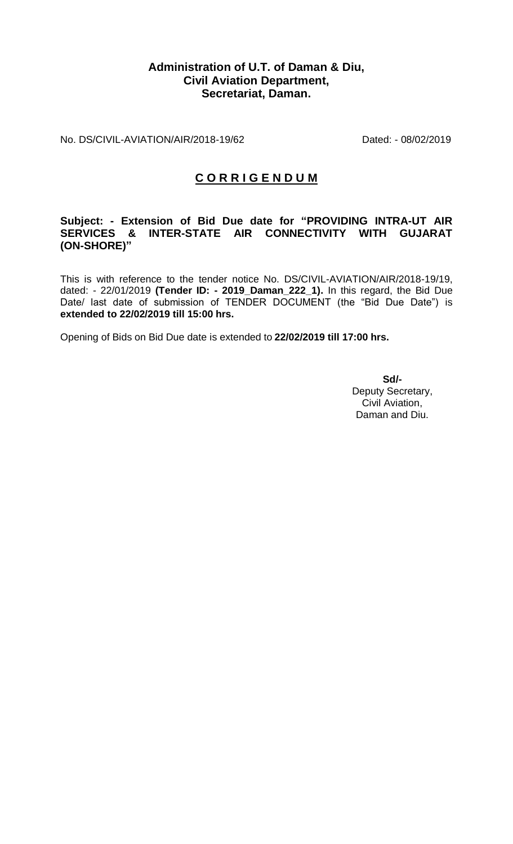## **Administration of U.T. of Daman & Diu, Civil Aviation Department, Secretariat, Daman.**

No. DS/CIVIL-AVIATION/AIR/2018-19/62 Dated: - 08/02/2019

## **C O R R I G E N D U M**

## **Subject: - Extension of Bid Due date for "PROVIDING INTRA-UT AIR SERVICES & INTER-STATE AIR CONNECTIVITY WITH GUJARAT (ON-SHORE)"**

This is with reference to the tender notice No. DS/CIVIL-AVIATION/AIR/2018-19/19, dated: - 22/01/2019 **(Tender ID: - 2019\_Daman\_222\_1).** In this regard, the Bid Due Date/ last date of submission of TENDER DOCUMENT (the "Bid Due Date") is **extended to 22/02/2019 till 15:00 hrs.** 

Opening of Bids on Bid Due date is extended to **22/02/2019 till 17:00 hrs.**

**Sd/-** Deputy Secretary, Civil Aviation, Daman and Diu.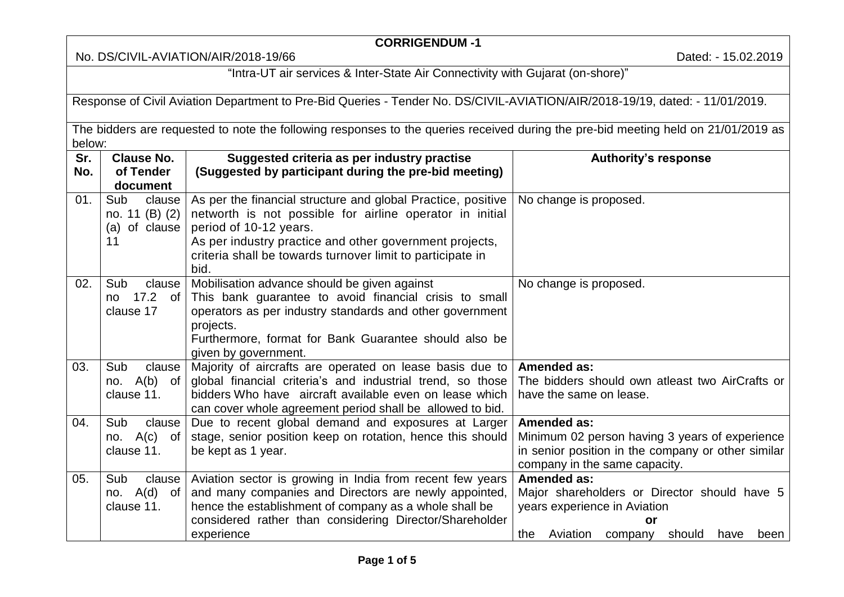## **CORRIGENDUM -1**

No. DS/CIVIL-AVIATION/AIR/2018-19/66 **Dated: - 15.02.2019** 

"Intra-UT air services & Inter-State Air Connectivity with Gujarat (on-shore)"

Response of Civil Aviation Department to Pre-Bid Queries - Tender No. DS/CIVIL-AVIATION/AIR/2018-19/19, dated: - 11/01/2019.

The bidders are requested to note the following responses to the queries received during the pre-bid meeting held on 21/01/2019 as below:

| Sr. | <b>Clause No.</b> | Suggested criteria as per industry practise                  | <b>Authority's response</b>                          |
|-----|-------------------|--------------------------------------------------------------|------------------------------------------------------|
| No. | of Tender         | (Suggested by participant during the pre-bid meeting)        |                                                      |
|     | document          |                                                              |                                                      |
| 01. | Sub<br>clause     | As per the financial structure and global Practice, positive | No change is proposed.                               |
|     | no. 11 (B) (2)    | networth is not possible for airline operator in initial     |                                                      |
|     | of clause<br>(a)  | period of 10-12 years.                                       |                                                      |
|     | 11                | As per industry practice and other government projects,      |                                                      |
|     |                   | criteria shall be towards turnover limit to participate in   |                                                      |
|     |                   | bid.                                                         |                                                      |
| 02. | Sub<br>clause     | Mobilisation advance should be given against                 | No change is proposed.                               |
|     | 17.2<br>of<br>no  | This bank guarantee to avoid financial crisis to small       |                                                      |
|     | clause 17         | operators as per industry standards and other government     |                                                      |
|     |                   | projects.                                                    |                                                      |
|     |                   | Furthermore, format for Bank Guarantee should also be        |                                                      |
|     |                   | given by government.                                         |                                                      |
| 03. | Sub<br>clause     | Majority of aircrafts are operated on lease basis due to     | <b>Amended as:</b>                                   |
|     | A(b)<br>no.<br>of | global financial criteria's and industrial trend, so those   | The bidders should own atleast two AirCrafts or      |
|     | clause 11.        | bidders Who have aircraft available even on lease which      | have the same on lease.                              |
|     |                   | can cover whole agreement period shall be allowed to bid.    |                                                      |
| 04. | Sub<br>clause     | Due to recent global demand and exposures at Larger          | <b>Amended as:</b>                                   |
|     | no. A(c)<br>of    | stage, senior position keep on rotation, hence this should   | Minimum 02 person having 3 years of experience       |
|     | clause 11.        | be kept as 1 year.                                           | in senior position in the company or other similar   |
|     |                   |                                                              | company in the same capacity.                        |
| 05. | Sub<br>clause     | Aviation sector is growing in India from recent few years    | <b>Amended as:</b>                                   |
|     | no. $A(d)$ of     | and many companies and Directors are newly appointed,        | Major shareholders or Director should have 5         |
|     | clause 11.        | hence the establishment of company as a whole shall be       | years experience in Aviation                         |
|     |                   | considered rather than considering Director/Shareholder      | or                                                   |
|     |                   | experience                                                   | Aviation<br>should<br>the<br>company<br>have<br>been |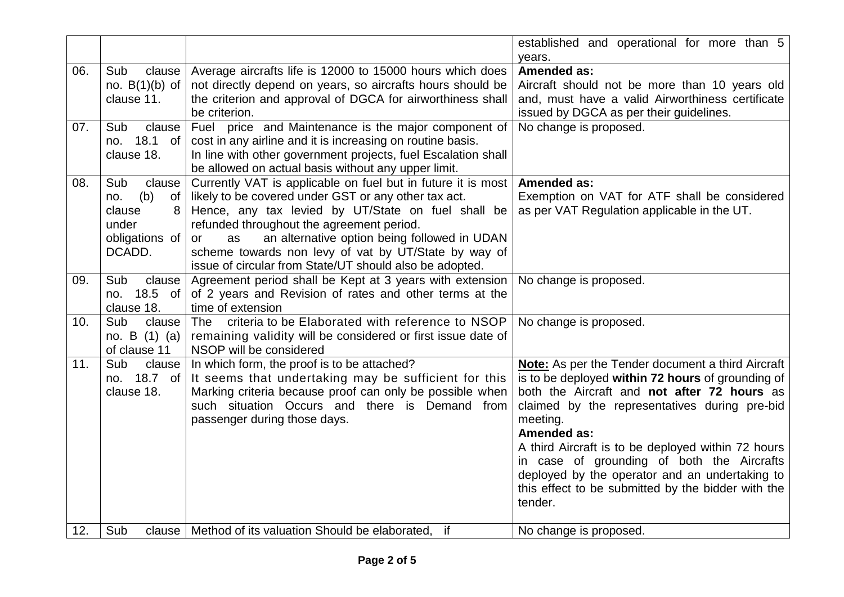|     |                          |                                                                                                                 | established and operational for more than 5              |
|-----|--------------------------|-----------------------------------------------------------------------------------------------------------------|----------------------------------------------------------|
|     |                          |                                                                                                                 | years.                                                   |
| 06. | Sub<br>clause            | Average aircrafts life is 12000 to 15000 hours which does                                                       | <b>Amended as:</b>                                       |
|     | no. $B(1)(b)$ of         | not directly depend on years, so aircrafts hours should be                                                      | Aircraft should not be more than 10 years old            |
|     | clause 11.               | the criterion and approval of DGCA for airworthiness shall                                                      | and, must have a valid Airworthiness certificate         |
|     |                          | be criterion.                                                                                                   | issued by DGCA as per their guidelines.                  |
| 07. | Sub<br>clause            | Fuel price and Maintenance is the major component of                                                            | No change is proposed.                                   |
|     | no. 18.1 of              | cost in any airline and it is increasing on routine basis.                                                      |                                                          |
|     | clause 18.               | In line with other government projects, fuel Escalation shall                                                   |                                                          |
|     |                          | be allowed on actual basis without any upper limit.                                                             |                                                          |
| 08. | Sub<br>clause            | Currently VAT is applicable on fuel but in future it is most                                                    | <b>Amended as:</b>                                       |
|     | (b)<br><b>of</b><br>no.  | likely to be covered under GST or any other tax act.                                                            | Exemption on VAT for ATF shall be considered             |
|     | clause<br>8              | Hence, any tax levied by UT/State on fuel shall be                                                              | as per VAT Regulation applicable in the UT.              |
|     | under                    | refunded throughout the agreement period.                                                                       |                                                          |
|     | obligations of<br>DCADD. | an alternative option being followed in UDAN<br>as<br>or                                                        |                                                          |
|     |                          | scheme towards non levy of vat by UT/State by way of<br>issue of circular from State/UT should also be adopted. |                                                          |
| 09. | Sub<br>clause            | Agreement period shall be Kept at 3 years with extension                                                        | No change is proposed.                                   |
|     | 18.5 of<br>no.           | of 2 years and Revision of rates and other terms at the                                                         |                                                          |
|     | clause 18.               | time of extension                                                                                               |                                                          |
| 10. | Sub<br>clause            | criteria to be Elaborated with reference to NSOP<br>The                                                         | No change is proposed.                                   |
|     | no. B $(1)$ $(a)$        | remaining validity will be considered or first issue date of                                                    |                                                          |
|     | of clause 11             | NSOP will be considered                                                                                         |                                                          |
| 11. | Sub<br>clause            | In which form, the proof is to be attached?                                                                     | <b>Note:</b> As per the Tender document a third Aircraft |
|     | no. 18.7 of              | It seems that undertaking may be sufficient for this                                                            | is to be deployed within 72 hours of grounding of        |
|     | clause 18.               | Marking criteria because proof can only be possible when                                                        | both the Aircraft and not after 72 hours as              |
|     |                          | such situation Occurs and there is Demand from                                                                  | claimed by the representatives during pre-bid            |
|     |                          | passenger during those days.                                                                                    | meeting.                                                 |
|     |                          |                                                                                                                 | <b>Amended as:</b>                                       |
|     |                          |                                                                                                                 | A third Aircraft is to be deployed within 72 hours       |
|     |                          |                                                                                                                 | in case of grounding of both the Aircrafts               |
|     |                          |                                                                                                                 | deployed by the operator and an undertaking to           |
|     |                          |                                                                                                                 | this effect to be submitted by the bidder with the       |
|     |                          |                                                                                                                 | tender.                                                  |
|     |                          |                                                                                                                 |                                                          |
| 12. | Sub                      | clause   Method of its valuation Should be elaborated,<br>if                                                    | No change is proposed.                                   |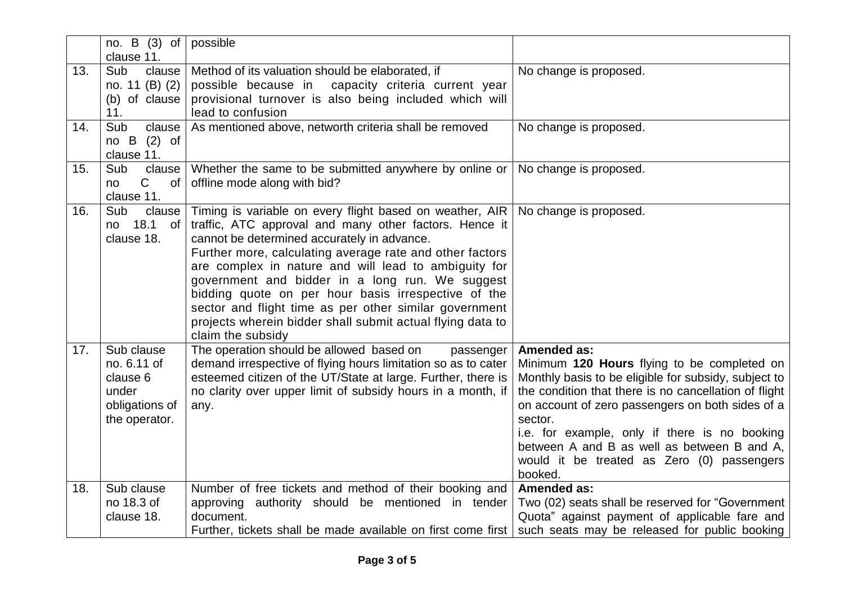|     | no. B $(3)$ of<br>clause 11.                                                      | possible                                                                                                                                                                                                                                                                                                                                                                                                                                                                                                                                     |                                                                                                                                                                                                                                                                                                                                                                                                            |
|-----|-----------------------------------------------------------------------------------|----------------------------------------------------------------------------------------------------------------------------------------------------------------------------------------------------------------------------------------------------------------------------------------------------------------------------------------------------------------------------------------------------------------------------------------------------------------------------------------------------------------------------------------------|------------------------------------------------------------------------------------------------------------------------------------------------------------------------------------------------------------------------------------------------------------------------------------------------------------------------------------------------------------------------------------------------------------|
| 13. | Sub<br>clause  <br>no. 11 (B) (2)<br>(b) of clause<br>11.                         | Method of its valuation should be elaborated, if<br>possible because in capacity criteria current year<br>provisional turnover is also being included which will<br>lead to confusion                                                                                                                                                                                                                                                                                                                                                        | No change is proposed.                                                                                                                                                                                                                                                                                                                                                                                     |
| 14. | Sub<br>clause<br>$(2)$ of<br>$no$ B<br>clause 11.                                 | As mentioned above, networth criteria shall be removed                                                                                                                                                                                                                                                                                                                                                                                                                                                                                       | No change is proposed.                                                                                                                                                                                                                                                                                                                                                                                     |
| 15. | Sub<br>clause<br>$\mathsf C$<br><b>of</b><br>no<br>clause 11.                     | Whether the same to be submitted anywhere by online or<br>offline mode along with bid?                                                                                                                                                                                                                                                                                                                                                                                                                                                       | No change is proposed.                                                                                                                                                                                                                                                                                                                                                                                     |
| 16. | Sub<br>clause  <br>18.1<br>of<br>no.<br>clause 18.                                | Timing is variable on every flight based on weather, AIR<br>traffic, ATC approval and many other factors. Hence it<br>cannot be determined accurately in advance.<br>Further more, calculating average rate and other factors<br>are complex in nature and will lead to ambiguity for<br>government and bidder in a long run. We suggest<br>bidding quote on per hour basis irrespective of the<br>sector and flight time as per other similar government<br>projects wherein bidder shall submit actual flying data to<br>claim the subsidy | No change is proposed.                                                                                                                                                                                                                                                                                                                                                                                     |
| 17. | Sub clause<br>no. 6.11 of<br>clause 6<br>under<br>obligations of<br>the operator. | The operation should be allowed based on<br>passenger<br>demand irrespective of flying hours limitation so as to cater<br>esteemed citizen of the UT/State at large. Further, there is<br>no clarity over upper limit of subsidy hours in a month, if<br>any.                                                                                                                                                                                                                                                                                | <b>Amended as:</b><br>Minimum 120 Hours flying to be completed on<br>Monthly basis to be eligible for subsidy, subject to<br>the condition that there is no cancellation of flight<br>on account of zero passengers on both sides of a<br>sector.<br>i.e. for example, only if there is no booking<br>between A and B as well as between B and A,<br>would it be treated as Zero (0) passengers<br>booked. |
| 18. | Sub clause<br>no 18.3 of<br>clause 18.                                            | Number of free tickets and method of their booking and<br>approving authority should be mentioned in tender<br>document.<br>Further, tickets shall be made available on first come first                                                                                                                                                                                                                                                                                                                                                     | <b>Amended as:</b><br>Two (02) seats shall be reserved for "Government"<br>Quota" against payment of applicable fare and<br>such seats may be released for public booking                                                                                                                                                                                                                                  |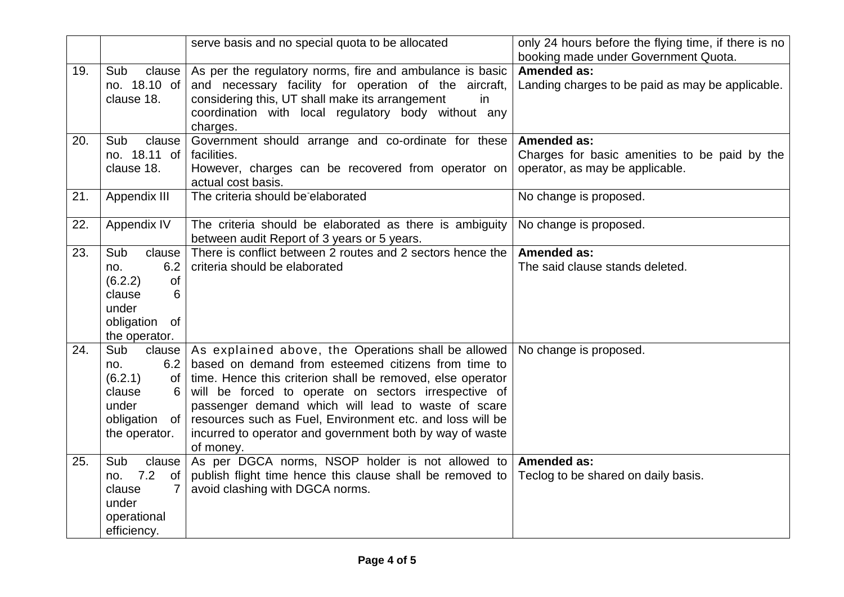|     |                                                                                                           | serve basis and no special quota to be allocated                                                                                                                                                                                                                                                                                                                                                                             | only 24 hours before the flying time, if there is no                                            |
|-----|-----------------------------------------------------------------------------------------------------------|------------------------------------------------------------------------------------------------------------------------------------------------------------------------------------------------------------------------------------------------------------------------------------------------------------------------------------------------------------------------------------------------------------------------------|-------------------------------------------------------------------------------------------------|
|     |                                                                                                           |                                                                                                                                                                                                                                                                                                                                                                                                                              | booking made under Government Quota.                                                            |
| 19. | Sub<br>clause  <br>no. 18.10 of<br>clause 18.                                                             | As per the regulatory norms, fire and ambulance is basic<br>and necessary facility for operation of the aircraft,<br>considering this, UT shall make its arrangement<br>in<br>coordination with local regulatory body without any<br>charges.                                                                                                                                                                                | <b>Amended as:</b><br>Landing charges to be paid as may be applicable.                          |
| 20. | Sub<br>clause<br>no. 18.11 of<br>clause 18.                                                               | Government should arrange and co-ordinate for these<br>facilities.<br>However, charges can be recovered from operator on<br>actual cost basis.                                                                                                                                                                                                                                                                               | Amended as:<br>Charges for basic amenities to be paid by the<br>operator, as may be applicable. |
| 21. | Appendix III                                                                                              | The criteria should be elaborated                                                                                                                                                                                                                                                                                                                                                                                            | No change is proposed.                                                                          |
| 22. | Appendix IV                                                                                               | The criteria should be elaborated as there is ambiguity<br>between audit Report of 3 years or 5 years.                                                                                                                                                                                                                                                                                                                       | No change is proposed.                                                                          |
| 23. | Sub<br>clause<br>6.2<br>no.<br>(6.2.2)<br>of<br>clause<br>6<br>under<br>obligation<br>of<br>the operator. | There is conflict between 2 routes and 2 sectors hence the<br>criteria should be elaborated                                                                                                                                                                                                                                                                                                                                  | Amended as:<br>The said clause stands deleted.                                                  |
| 24. | Sub<br>clause<br>6.2<br>no.<br>(6.2.1)<br>0f<br>clause<br>under<br>obligation<br>of<br>the operator.      | As explained above, the Operations shall be allowed<br>based on demand from esteemed citizens from time to<br>time. Hence this criterion shall be removed, else operator<br>will be forced to operate on sectors irrespective of<br>passenger demand which will lead to waste of scare<br>resources such as Fuel, Environment etc. and loss will be<br>incurred to operator and government both by way of waste<br>of money. | No change is proposed.                                                                          |
| 25. | Sub<br>clause<br>7.2<br>of<br>no.<br>clause<br>under<br>operational<br>efficiency.                        | As per DGCA norms, NSOP holder is not allowed to<br>publish flight time hence this clause shall be removed to<br>avoid clashing with DGCA norms.                                                                                                                                                                                                                                                                             | <b>Amended as:</b><br>Teclog to be shared on daily basis.                                       |